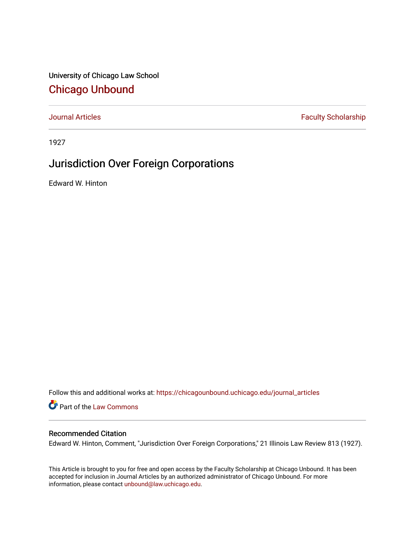University of Chicago Law School [Chicago Unbound](https://chicagounbound.uchicago.edu/)

[Journal Articles](https://chicagounbound.uchicago.edu/journal_articles) **Faculty Scholarship Faculty Scholarship** 

1927

## Jurisdiction Over Foreign Corporations

Edward W. Hinton

Follow this and additional works at: [https://chicagounbound.uchicago.edu/journal\\_articles](https://chicagounbound.uchicago.edu/journal_articles?utm_source=chicagounbound.uchicago.edu%2Fjournal_articles%2F9197&utm_medium=PDF&utm_campaign=PDFCoverPages) 

Part of the [Law Commons](http://network.bepress.com/hgg/discipline/578?utm_source=chicagounbound.uchicago.edu%2Fjournal_articles%2F9197&utm_medium=PDF&utm_campaign=PDFCoverPages)

## Recommended Citation

Edward W. Hinton, Comment, "Jurisdiction Over Foreign Corporations," 21 Illinois Law Review 813 (1927).

This Article is brought to you for free and open access by the Faculty Scholarship at Chicago Unbound. It has been accepted for inclusion in Journal Articles by an authorized administrator of Chicago Unbound. For more information, please contact [unbound@law.uchicago.edu](mailto:unbound@law.uchicago.edu).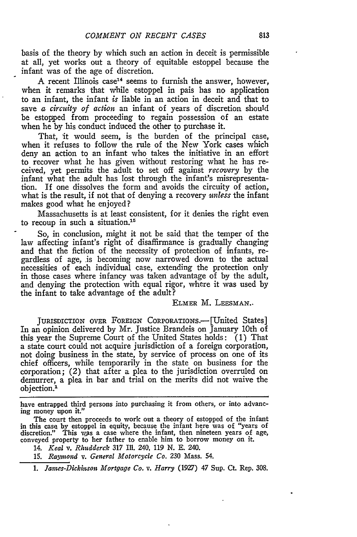basis of the theory by which such an action in deceit is permissible at all, yet works out a theory of equitable estoppel because the infant was of the age of discretion.

A recent Illinois case<sup>14</sup> seems to furnish the answer, however, when it remarks that while estoppel in pais has no application to an infant, the infant *is* liable in an action in deceit and that to save *a circuity of action* an infant of years of discretion should be estopped from proceeding to regain possession of an estate when he by his conduct induced the other to purchase it.

That, it would seem, is the burden of the principal case, when it refuses to follow the rule of the New York cases which deny an action to an infant who takes the initiative in an effort to recover what he has given without restoring what he has received, yet permits the adult to set off against *recovery* by the infant what the adult has lost through the infant's misrepresentation. If one dissolves the form and avoids the circuity of action, what is the result, if not that of denying a recovery *unless* the infant makes good what he enjoyed?

Massachusetts is at least consistent, for it denies the right even to recoup in such a situation.<sup>15</sup>

So, in conclusion, might it not be said that the temper of the law affecting infant's right of disaffirmance is gradually changing and that the fiction of the necessity of protection of infants, regardless of age, is becoming now narrowed down to the actual necessities of each individual case, extending the protection only in those cases where infancy was taken advantage of by the adult, and denying the protection with equal rigor, where it was used by the infant to take advantage of the adult?

ELMER M. LEESMAN.-

JURISDICTION OVER FOREIGN CORPORATIONS.—[United States] In an opinion delivered by Mr. Justice Brandeis on January 10th of this year the Supreme Court of the United States holds: (1) That a state court could not acquire jurisdiction of a foreign corporation, not doing business in the state, by service of process on one of its chief officers, while temporarily in the state on business for the corporation; (2) that after a plea to the jurisdiction overruled on demurrer, a plea in bar and trial on the merits did not waive the objection.'

have entrapped third persons into purchasing it from others, or into advancing money upon it."

14. *Keal v. Rhudderek* 317 Ill. 240, *119* N. E. 240.

*15. Raymnond v. General Motorcycle Co.* 230 Mass. *54.*

*1. Jamnes-Dickinson Mortgage Co. v. Harry* (1927) 47 Sup. Ct. Rep. 308.

The court then proceeds to work out a theory of estopped of the infant in this case by estoppel in equity, because the infant here was of "years of discretion." This was a case where the infant, then nineteen years of age conveyed property to her father to enable him to borrow money on it.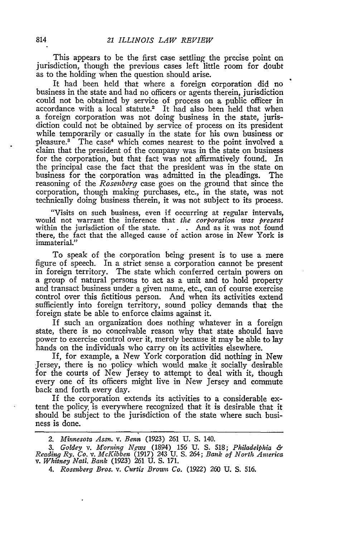This appears to be the first case settling the precise point on jurisdiction, though the previous cases left little room for doubt as to the holding when the question should arise.

It had been held that where a foreign corporation did no business in the state and had no officers or agents therein, jurisdiction could not be obtained by service of process on a public officer in accordance with a local statute.<sup>2</sup> It had also been held that when a foreign corporation was not doing business in the state, jurisdiction could not be obtained by service of process on its president while temporarily or casually in the state for his own business or pleasure.<sup>3</sup> The case<sup>4</sup> which comes nearest to the point involved a claim that the president of the company was in the state on business for the corporation, but that fact was not affirmatively found. In the principal case the fact that the president was in the state on business for the corporation was admitted in the pleadings. The reasoning of the *Rosenberg* case goes on the ground that since the corporation, though making purchases, etc., in the state, was not technically doing business therein, it was not subject to its process.

"Visits on such business, even if occurring at regular intervals, would not warrant the inference that *the corporation was present* within the jurisdiction of the state. . **.** . And as it was not found there, the fact that the alleged cause of action arose in New York is immaterial."

To speak of the corporation being present is to use a mere figure of speech. In a strict sense a corporation cannot be present in foreign territory. The state which conferred certain powers on a group of natural persons to act as a unit and to hold property and transact business under a given name, etc., can of course exercise control over this fictitious person. And when its activities extend sufficiently into foreign territory, sound policy demands that the foreign state be able to enforce claims against it.

If such an organization does nothing whatever in a foreign state, there is no conceivable reason why that state should have power to exercise control over it, merely because it may be able to lay hands on the individuals who carry on its activities elsewhere.

If, for example, a New York corporation did nothing in New Jersey, there is no policy which would make it socially desirable for the courts of New Jersey to attempt to deal with it, though every one of its officers might live in New Jersey and commute back and forth every day.

If the corporation extends its activities to a considerable extent the policy, is everywhere recognized that it is desirable that it should be subject to the jurisdiction of the state where such business is done.

*<sup>2.</sup> Minnesota Assn. v. Benn* (1923) 261 U. S. 140.

*<sup>3.</sup> Goldey v. Morning News* (1894) 156 U. S. 518; *Philadelphia & Reading Ry. Co. v. McKibben* (1917) 243 U. S. 264; *Bank of North Anerica v. Whitney Nati. Bank* (1923) 261 U. S. 171.

*<sup>4.</sup> Rosenberg Bros. v. Curtis Brown Co.* (1922) 260 U. S. 516.